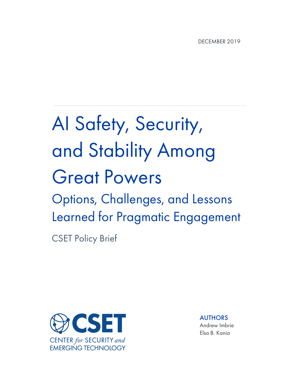# AI Safety, Security, and Stability Among Great Powers Options, Challenges, and Lessons Learned for Pragmatic Engagement

CSET Policy Brief



AUTHORS Andrew Imbrie Elsa B. Kania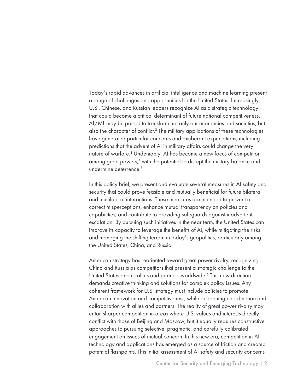Today's rapid advances in artificial intelligence and machine learning present a range of challenges and opportunities for the United States. Increasingly, U.S., Chinese, and Russian leaders recognize AI as a strategic technology that could become a critical determinant of future national competitiveness.<sup>1</sup> AI/ML may be poised to transform not only our economies and societies, but also the character of conflict.2 The military applications of these technologies have generated particular concerns and exuberant expectations, including predictions that the advent of AI in military affairs could change the very nature of warfare.3 Undeniably, AI has become a new focus of competition among great powers,<sup>4</sup> with the potential to disrupt the military balance and undermine deterrence.<sup>5</sup>

In this policy brief, we present and evaluate several measures in AI safety and security that could prove feasible and mutually beneficial for future bilateral and multilateral interactions. These measures are intended to prevent or correct misperceptions, enhance mutual transparency on policies and capabilities, and contribute to providing safeguards against inadvertent escalation. By pursuing such initiatives in the near term, the United States can improve its capacity to leverage the benefits of AI, while mitigating the risks and managing the shifting terrain in today's geopolitics, particularly among the United States, China, and Russia.

American strategy has reoriented toward great power rivalry, recognizing China and Russia as competitors that present a strategic challenge to the United States and its allies and partners worldwide.<sup>6</sup> This new direction demands creative thinking and solutions for complex policy issues. Any coherent framework for U.S. strategy must include policies to promote American innovation and competitiveness, while deepening coordination and collaboration with allies and partners. The reality of great power rivalry may entail sharper competition in areas where U.S. values and interests directly conflict with those of Beijing and Moscow, but it equally requires constructive approaches to pursuing selective, pragmatic, and carefully calibrated engagement on issues of mutual concern. In this new era, competition in AI technology and applications has emerged as a source of friction and created potential flashpoints. This initial assessment of AI safety and security concerns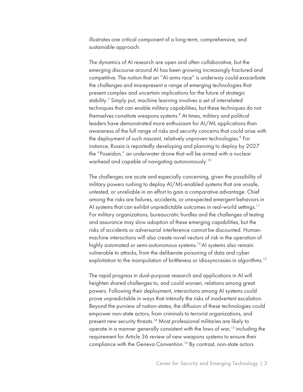illustrates one critical component of a long-term, comprehensive, and sustainable approach.

The dynamics of AI research are open and often collaborative, but the emerging discourse around AI has been growing increasingly fractured and competitive. The notion that an "AI arms race" is underway could exacerbate the challenges and misrepresent a range of emerging technologies that present complex and uncertain implications for the future of strategic stability.<sup>7</sup> Simply put, machine learning involves a set of interrelated techniques that can enable military capabilities, but these techniques do not themselves constitute weapons systems.<sup>8</sup> At times, military and political leaders have demonstrated more enthusiasm for AI/ML applications than awareness of the full range of risks and security concerns that could arise with the deployment of such nascent, relatively unproven technologies.<sup>9</sup> For instance, Russia is reportedly developing and planning to deploy by 2027 the "Poseidon," an underwater drone that will be armed with a nuclear warhead and capable of navigating autonomously.10

The challenges are acute and especially concerning, given the possibility of military powers rushing to deploy AI/ML-enabled systems that are unsafe, untested, or unreliable in an effort to gain a comparative advantage. Chief among the risks are failures, accidents, or unexpected emergent behaviors in AI systems that can exhibit unpredictable outcomes in real-world settings.<sup>11</sup> For military organizations, bureaucratic hurdles and the challenges of testing and assurance may slow adoption of these emerging capabilities, but the risks of accidents or adversarial interference cannot be discounted. Humanmachine interactions will also create novel vectors of risk in the operation of highly automated or semi-autonomous systems.<sup>12</sup> AI systems also remain vulnerable to attacks, from the deliberate poisoning of data and cyber exploitation to the manipulation of brittleness or idiosyncrasies in algorithms.<sup>13</sup>

The rapid progress in dual-purpose research and applications in AI will heighten shared challenges to, and could worsen, relations among great powers. Following their deployment, interactions among AI systems could prove unpredictable in ways that intensify the risks of inadvertent escalation. Beyond the purview of nation-states, the diffusion of these technologies could empower non-state actors, from criminals to terrorist organizations, and present new security threats.<sup>14</sup> Most professional militaries are likely to operate in a manner generally consistent with the laws of war,<sup>15</sup> including the requirement for Article 36 review of new weapons systems to ensure their compliance with the Geneva Convention.<sup>16</sup> By contrast, non-state actors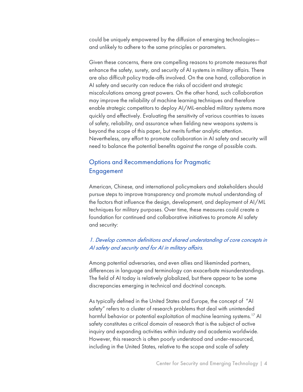could be uniquely empowered by the diffusion of emerging technologies and unlikely to adhere to the same principles or parameters.

Given these concerns, there are compelling reasons to promote measures that enhance the safety, surety, and security of AI systems in military affairs. There are also difficult policy trade-offs involved. On the one hand, collaboration in AI safety and security can reduce the risks of accident and strategic miscalculations among great powers. On the other hand, such collaboration may improve the reliability of machine learning techniques and therefore enable strategic competitors to deploy AI/ML-enabled military systems more quickly and effectively. Evaluating the sensitivity of various countries to issues of safety, reliability, and assurance when fielding new weapons systems is beyond the scope of this paper, but merits further analytic attention. Nevertheless, any effort to promote collaboration in AI safety and security will need to balance the potential benefits against the range of possible costs.

# Options and Recommendations for Pragmatic Engagement

American, Chinese, and international policymakers and stakeholders should pursue steps to improve transparency and promote mutual understanding of the factors that influence the design, development, and deployment of AI/ML techniques for military purposes. Over time, these measures could create a foundation for continued and collaborative initiatives to promote AI safety and security:

### 1. Develop common definitions and shared understanding of core concepts in AI safety and security and for AI in military affairs.

Among potential adversaries, and even allies and likeminded partners, differences in language and terminology can exacerbate misunderstandings. The field of AI today is relatively globalized, but there appear to be some discrepancies emerging in technical and doctrinal concepts.

As typically defined in the United States and Europe, the concept of "AI safety" refers to a cluster of research problems that deal with unintended harmful behavior or potential exploitation of machine learning systems.<sup>17</sup> AI safety constitutes a critical domain of research that is the subject of active inquiry and expanding activities within industry and academia worldwide. However, this research is often poorly understood and under-resourced, including in the United States, relative to the scope and scale of safety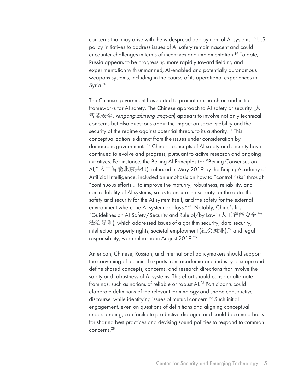concerns that may arise with the widespread deployment of AI systems.18 U.S. policy initiatives to address issues of AI safety remain nascent and could encounter challenges in terms of incentives and implementation.<sup>19</sup> To date, Russia appears to be progressing more rapidly toward fielding and experimentation with unmanned, AI-enabled and potentially autonomous weapons systems, including in the course of its operational experiences in Syria. 20

The Chinese government has started to promote research on and initial frameworks for AI safety. The Chinese approach to AI safety or security ( $\lozenge\bot$ 智能安全, *rengong zhineng anquan*) appears to involve not only technical concerns but also questions about the impact on social stability and the security of the regime against potential threats to its authority.<sup>21</sup> This conceptualization is distinct from the issues under consideration by democratic governments.<sup>22</sup> Chinese concepts of AI safety and security have continued to evolve and progress, pursuant to active research and ongoing initiatives. For instance, the Beijing AI Principles (or "Beijing Consensus on AI," 人工智能北京共识), released in May 2019 by the Beijing Academy of Artificial Intelligence, included an emphasis on how to "control risks" through "continuous efforts ... to improve the maturity, robustness, reliability, and controllability of AI systems, so as to ensure the security for the data, the safety and security for the AI system itself, and the safety for the external environment where the AI system deploys."23 Notably, China's first "Guidelines on AI Safety/Security and Rule of/by Law" (人工智能安全与 法治导则), which addressed issues of algorithm security, data security, intellectual property rights, societal employment (社会就业), $^{24}$  and legal responsibility, were released in August 2019.25

American, Chinese, Russian, and international policymakers should support the convening of technical experts from academia and industry to scope and define shared concepts, concerns, and research directions that involve the safety and robustness of AI systems. This effort should consider alternate framings, such as notions of reliable or robust AI.<sup>26</sup> Participants could elaborate definitions of the relevant terminology and shape constructive discourse, while identifying issues of mutual concern.<sup>27</sup> Such initial engagement, even on questions of definitions and aligning conceptual understanding, can facilitate productive dialogue and could become a basis for sharing best practices and devising sound policies to respond to common concerns.28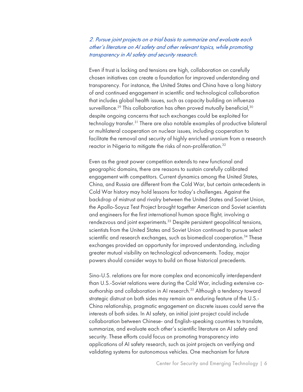2. Pursue joint projects on a trial basis to summarize and evaluate each other's literature on AI safety and other relevant topics, while promoting transparency in AI safety and security research.

Even if trust is lacking and tensions are high, collaboration on carefully chosen initiatives can create a foundation for improved understanding and transparency. For instance, the United States and China have a long history of and continued engagement in scientific and technological collaboration that includes global health issues, such as capacity building on influenza surveillance.<sup>29</sup> This collaboration has often proved mutually beneficial,<sup>30</sup> despite ongoing concerns that such exchanges could be exploited for technology transfer.<sup>31</sup> There are also notable examples of productive bilateral or multilateral cooperation on nuclear issues, including cooperation to facilitate the removal and security of highly enriched uranium from a research reactor in Nigeria to mitigate the risks of non-proliferation.<sup>32</sup>

Even as the great power competition extends to new functional and geographic domains, there are reasons to sustain carefully calibrated engagement with competitors. Current dynamics among the United States, China, and Russia are different from the Cold War, but certain antecedents in Cold War history may hold lessons for today's challenges. Against the backdrop of mistrust and rivalry between the United States and Soviet Union, the Apollo-Soyuz Test Project brought together American and Soviet scientists and engineers for the first international human space flight, involving a rendezvous and joint experiments.<sup>33</sup> Despite persistent geopolitical tensions, scientists from the United States and Soviet Union continued to pursue select scientific and research exchanges, such as biomedical cooperation.<sup>34</sup> These exchanges provided an opportunity for improved understanding, including greater mutual visibility on technological advancements. Today, major powers should consider ways to build on those historical precedents.

Sino-U.S. relations are far more complex and economically interdependent than U.S.-Soviet relations were during the Cold War, including extensive coauthorship and collaboration in AI research.<sup>35</sup> Although a tendency toward strategic distrust on both sides may remain an enduring feature of the U.S.- China relationship, pragmatic engagement on discrete issues could serve the interests of both sides. In AI safety, an initial joint project could include collaboration between Chinese- and English-speaking countries to translate, summarize, and evaluate each other's scientific literature on AI safety and security. These efforts could focus on promoting transparency into applications of AI safety research, such as joint projects on verifying and validating systems for autonomous vehicles. One mechanism for future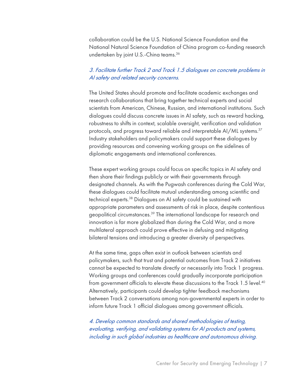collaboration could be the U.S. National Science Foundation and the National Natural Science Foundation of China program co-funding research undertaken by joint U.S.-China teams.36

#### 3. Facilitate further Track 2 and Track 1.5 dialogues on concrete problems in AI safety and related security concerns.

The United States should promote and facilitate academic exchanges and research collaborations that bring together technical experts and social scientists from American, Chinese, Russian, and international institutions. Such dialogues could discuss concrete issues in AI safety, such as reward hacking, robustness to shifts in context, scalable oversight, verification and validation protocols, and progress toward reliable and interpretable AI/ML systems.<sup>37</sup> Industry stakeholders and policymakers could support these dialogues by providing resources and convening working groups on the sidelines of diplomatic engagements and international conferences.

These expert working groups could focus on specific topics in AI safety and then share their findings publicly or with their governments through designated channels. As with the Pugwash conferences during the Cold War, these dialogues could facilitate mutual understanding among scientific and technical experts.38 Dialogues on AI safety could be sustained with appropriate parameters and assessments of risk in place, despite contentious geopolitical circumstances.39 The international landscape for research and innovation is far more globalized than during the Cold War, and a more multilateral approach could prove effective in defusing and mitigating bilateral tensions and introducing a greater diversity of perspectives.

At the same time, gaps often exist in outlook between scientists and policymakers, such that trust and potential outcomes from Track 2 initiatives cannot be expected to translate directly or necessarily into Track 1 progress. Working groups and conferences could gradually incorporate participation from government officials to elevate these discussions to the Track 1.5 level.<sup>40</sup> Alternatively, participants could develop tighter feedback mechanisms between Track 2 conversations among non-governmental experts in order to inform future Track 1 official dialogues among government officials.

4. Develop common standards and shared methodologies of testing, evaluating, verifying, and validating systems for AI products and systems, including in such global industries as healthcare and autonomous driving.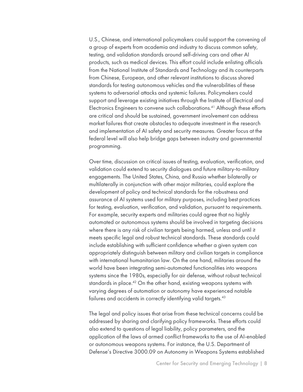U.S., Chinese, and international policymakers could support the convening of a group of experts from academia and industry to discuss common safety, testing, and validation standards around self-driving cars and other AI products, such as medical devices. This effort could include enlisting officials from the National Institute of Standards and Technology and its counterparts from Chinese, European, and other relevant institutions to discuss shared standards for testing autonomous vehicles and the vulnerabilities of these systems to adversarial attacks and systemic failures. Policymakers could support and leverage existing initiatives through the Institute of Electrical and Electronics Engineers to convene such collaborations.<sup>41</sup> Although these efforts are critical and should be sustained, government involvement can address market failures that create obstacles to adequate investment in the research and implementation of AI safety and security measures. Greater focus at the federal level will also help bridge gaps between industry and governmental programming.

Over time, discussion on critical issues of testing, evaluation, verification, and validation could extend to security dialogues and future military-to-military engagements. The United States, China, and Russia whether bilaterally or multilaterally in conjunction with other major militaries, could explore the development of policy and technical standards for the robustness and assurance of AI systems used for military purposes, including best practices for testing, evaluation, verification, and validation, pursuant to requirements. For example, security experts and militaries could agree that no highly automated or autonomous systems should be involved in targeting decisions where there is any risk of civilian targets being harmed, unless and until it meets specific legal and robust technical standards. These standards could include establishing with sufficient confidence whether a given system can appropriately distinguish between military and civilian targets in compliance with international humanitarian law. On the one hand, militaries around the world have been integrating semi-automated functionalities into weapons systems since the 1980s, especially for air defense, without robust technical standards in place.<sup>42</sup> On the other hand, existing weapons systems with varying degrees of automation or autonomy have experienced notable failures and accidents in correctly identifying valid targets.<sup>43</sup>

The legal and policy issues that arise from these technical concerns could be addressed by sharing and clarifying policy frameworks. These efforts could also extend to questions of legal liability, policy parameters, and the application of the laws of armed conflict frameworks to the use of AI-enabled or autonomous weapons systems. For instance, the U.S. Department of Defense's Directive 3000.09 on Autonomy in Weapons Systems established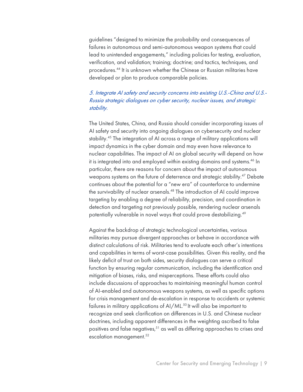guidelines "designed to minimize the probability and consequences of failures in autonomous and semi-autonomous weapon systems that could lead to unintended engagements," including policies for testing, evaluation, verification, and validation; training; doctrine; and tactics, techniques, and procedures.44 It is unknown whether the Chinese or Russian militaries have developed or plan to produce comparable policies.

# 5. Integrate AI safety and security concerns into existing U.S.-China and U.S.- Russia strategic dialogues on cyber security, nuclear issues, and strategic stability.

The United States, China, and Russia should consider incorporating issues of AI safety and security into ongoing dialogues on cybersecurity and nuclear stability.45 The integration of AI across a range of military applications will impact dynamics in the cyber domain and may even have relevance to nuclear capabilities. The impact of AI on global security will depend on how it is integrated into and employed within existing domains and systems.<sup>46</sup> In particular, there are reasons for concern about the impact of autonomous weapons systems on the future of deterrence and strategic stability.<sup>47</sup> Debate continues about the potential for a "new era" of counterforce to undermine the survivability of nuclear arsenals.48 The introduction of AI could improve targeting by enabling a degree of reliability, precision, and coordination in detection and targeting not previously possible, rendering nuclear arsenals potentially vulnerable in novel ways that could prove destabilizing.<sup>49</sup>

Against the backdrop of strategic technological uncertainties, various militaries may pursue divergent approaches or behave in accordance with distinct calculations of risk. Militaries tend to evaluate each other's intentions and capabilities in terms of worst-case possibilities. Given this reality, and the likely deficit of trust on both sides, security dialogues can serve a critical function by ensuring regular communication, including the identification and mitigation of biases, risks, and misperceptions. These efforts could also include discussions of approaches to maintaining meaningful human control of AI-enabled and autonomous weapons systems, as well as specific options for crisis management and de-escalation in response to accidents or systemic failures in military applications of AI/ML. <sup>50</sup> It will also be important to recognize and seek clarification on differences in U.S. and Chinese nuclear doctrines, including apparent differences in the weighting ascribed to false positives and false negatives,<sup>51</sup> as well as differing approaches to crises and escalation management.<sup>52</sup>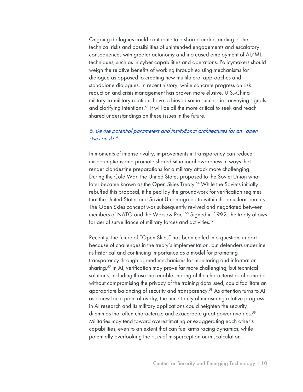Ongoing dialogues could contribute to a shared understanding of the technical risks and possibilities of unintended engagements and escalatory consequences with greater autonomy and increased employment of AI/ML techniques, such as in cyber capabilities and operations. Policymakers should weigh the relative benefits of working through existing mechanisms for dialogue as opposed to creating new multilateral approaches and standalone dialogues. In recent history, while concrete progress on risk reduction and crisis management has proven more elusive, U.S.-China military-to-military relations have achieved some success in conveying signals and clarifying intentions.<sup>53</sup> It will be all the more critical to seek and reach shared understandings on these issues in the future.

#### 6. Devise potential parameters and institutional architectures for an "open skies on AI."

In moments of intense rivalry, improvements in transparency can reduce misperceptions and promote shared situational awareness in ways that render clandestine preparations for a military attack more challenging. During the Cold War, the United States proposed to the Soviet Union what later became known as the Open Skies Treaty.<sup>54</sup> While the Soviets initially rebuffed this proposal, it helped lay the groundwork for verification regimes that the United States and Soviet Union agreed to within their nuclear treaties. The Open Skies concept was subsequently revived and negotiated between members of NATO and the Warsaw Pact.<sup>55</sup> Signed in 1992, the treaty allows for aerial surveillance of military forces and activities.<sup>56</sup>

Recently, the future of "Open Skies" has been called into question, in part because of challenges in the treaty's implementation, but defenders underline its historical and continuing importance as a model for promoting transparency through agreed mechanisms for monitoring and information sharing.<sup>57</sup> In AI, verification may prove far more challenging, but technical solutions, including those that enable sharing of the characteristics of a model without compromising the privacy of the training data used, could facilitate an appropriate balancing of security and transparency.<sup>58</sup> As attention turns to Al as a new focal point of rivalry, the uncertainty of measuring relative progress in AI research and its military applications could heighten the security dilemmas that often characterize and exacerbate great power rivalries.<sup>59</sup> Militaries may tend toward overestimating or exaggerating each other's capabilities, even to an extent that can fuel arms racing dynamics, while potentially overlooking the risks of misperception or miscalculation.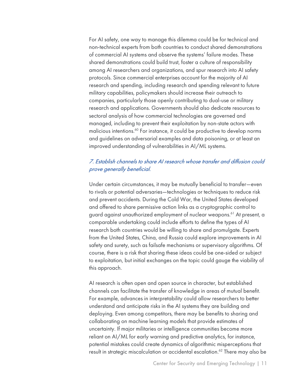For AI safety, one way to manage this dilemma could be for technical and non-technical experts from both countries to conduct shared demonstrations of commercial AI systems and observe the systems' failure modes. These shared demonstrations could build trust, foster a culture of responsibility among AI researchers and organizations, and spur research into AI safety protocols. Since commercial enterprises account for the majority of AI research and spending, including research and spending relevant to future military capabilities, policymakers should increase their outreach to companies, particularly those openly contributing to dual-use or military research and applications. Governments should also dedicate resources to sectoral analysis of how commercial technologies are governed and managed, including to prevent their exploitation by non-state actors with malicious intentions.<sup>60</sup> For instance, it could be productive to develop norms and guidelines on adversarial examples and data poisoning, or at least an improved understanding of vulnerabilities in AI/ML systems.

# 7. Establish channels to share AI research whose transfer and diffusion could prove generally beneficial.

Under certain circumstances, it may be mutually beneficial to transfer—even to rivals or potential adversaries—technologies or techniques to reduce risk and prevent accidents. During the Cold War, the United States developed and offered to share permissive action links as a cryptographic control to guard against unauthorized employment of nuclear weapons.<sup>61</sup> At present, a comparable undertaking could include efforts to define the types of AI research both countries would be willing to share and promulgate. Experts from the United States, China, and Russia could explore improvements in AI safety and surety, such as failsafe mechanisms or supervisory algorithms. Of course, there is a risk that sharing these ideas could be one-sided or subject to exploitation, but initial exchanges on the topic could gauge the viability of this approach.

AI research is often open and open source in character, but established channels can facilitate the transfer of knowledge in areas of mutual benefit. For example, advances in interpretability could allow researchers to better understand and anticipate risks in the AI systems they are building and deploying. Even among competitors, there may be benefits to sharing and collaborating on machine learning models that provide estimates of uncertainty. If major militaries or intelligence communities become more reliant on AI/ML for early warning and predictive analytics, for instance, potential mistakes could create dynamics of algorithmic misperceptions that result in strategic miscalculation or accidental escalation.<sup>62</sup> There may also be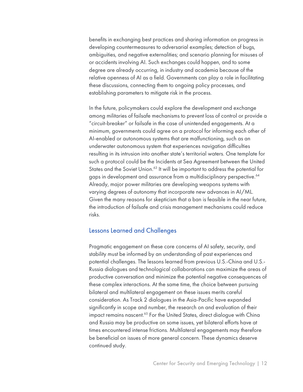benefits in exchanging best practices and sharing information on progress in developing countermeasures to adversarial examples; detection of bugs, ambiguities, and negative externalities; and scenario planning for misuses of or accidents involving AI. Such exchanges could happen, and to some degree are already occurring, in industry and academia because of the relative openness of AI as a field. Governments can play a role in facilitating these discussions, connecting them to ongoing policy processes, and establishing parameters to mitigate risk in the process.

In the future, policymakers could explore the development and exchange among militaries of failsafe mechanisms to prevent loss of control or provide a "circuit-breaker" or failsafe in the case of unintended engagements. At a minimum, governments could agree on a protocol for informing each other of AI-enabled or autonomous systems that are malfunctioning, such as an underwater autonomous system that experiences navigation difficulties resulting in its intrusion into another state's territorial waters. One template for such a protocol could be the Incidents at Sea Agreement between the United States and the Soviet Union.<sup>63</sup> It will be important to address the potential for gaps in development and assurance from a multidisciplinary perspective.<sup>64</sup> Already, major power militaries are developing weapons systems with varying degrees of autonomy that incorporate new advances in AI/ML. Given the many reasons for skepticism that a ban is feasible in the near future, the introduction of failsafe and crisis management mechanisms could reduce risks.

#### Lessons Learned and Challenges

Pragmatic engagement on these core concerns of AI safety, security, and stability must be informed by an understanding of past experiences and potential challenges. The lessons learned from previous U.S.-China and U.S.- Russia dialogues and technological collaborations can maximize the areas of productive conversation and minimize the potential negative consequences of these complex interactions. At the same time, the choice between pursuing bilateral and multilateral engagement on these issues merits careful consideration. As Track 2 dialogues in the Asia-Pacific have expanded significantly in scope and number, the research on and evaluation of their impact remains nascent.<sup>65</sup> For the United States, direct dialogue with China and Russia may be productive on some issues, yet bilateral efforts have at times encountered intense frictions. Multilateral engagements may therefore be beneficial on issues of more general concern. These dynamics deserve continued study.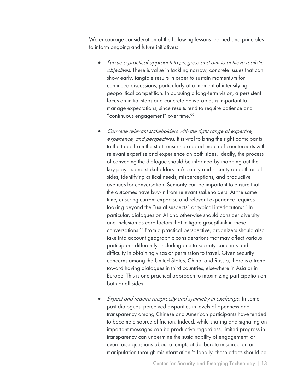We encourage consideration of the following lessons learned and principles to inform ongoing and future initiatives:

- Pursue a practical approach to progress and aim to achieve realistic objectives. There is value in tackling narrow, concrete issues that can show early, tangible results in order to sustain momentum for continued discussions, particularly at a moment of intensifying geopolitical competition. In pursuing a long-term vision, a persistent focus on initial steps and concrete deliverables is important to manage expectations, since results tend to require patience and "continuous engagement" over time.<sup>66</sup>
- Convene relevant stakeholders with the right range of expertise, experience, and perspectives. It is vital to bring the right participants to the table from the start, ensuring a good match of counterparts with relevant expertise and experience on both sides. Ideally, the process of convening the dialogue should be informed by mapping out the key players and stakeholders in AI safety and security on both or all sides, identifying critical needs, misperceptions, and productive avenues for conversation. Seniority can be important to ensure that the outcomes have buy-in from relevant stakeholders. At the same time, ensuring current expertise and relevant experience requires looking beyond the "usual suspects" or typical interlocutors.<sup>67</sup> In particular, dialogues on AI and otherwise should consider diversity and inclusion as core factors that mitigate groupthink in these conversations.68 From a practical perspective, organizers should also take into account geographic considerations that may affect various participants differently, including due to security concerns and difficulty in obtaining visas or permission to travel. Given security concerns among the United States, China, and Russia, there is a trend toward having dialogues in third countries, elsewhere in Asia or in Europe. This is one practical approach to maximizing participation on both or all sides.
- Expect and require reciprocity and symmetry in exchange. In some past dialogues, perceived disparities in levels of openness and transparency among Chinese and American participants have tended to become a source of friction. Indeed, while sharing and signaling on important messages can be productive regardless, limited progress in transparency can undermine the sustainability of engagement, or even raise questions about attempts at deliberate misdirection or manipulation through misinformation.<sup>69</sup> Ideally, these efforts should be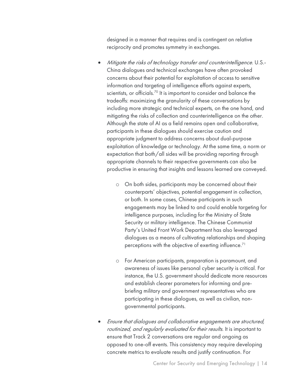designed in a manner that requires and is contingent on relative reciprocity and promotes symmetry in exchanges.

- Mitigate the risks of technology transfer and counterintelligence. U.S.-China dialogues and technical exchanges have often provoked concerns about their potential for exploitation of access to sensitive information and targeting of intelligence efforts against experts, scientists, or officials.<sup>70</sup> It is important to consider and balance the tradeoffs: maximizing the granularity of these conversations by including more strategic and technical experts, on the one hand, and mitigating the risks of collection and counterintelligence on the other. Although the state of AI as a field remains open and collaborative, participants in these dialogues should exercise caution and appropriate judgment to address concerns about dual-purpose exploitation of knowledge or technology. At the same time, a norm or expectation that both/all sides will be providing reporting through appropriate channels to their respective governments can also be productive in ensuring that insights and lessons learned are conveyed.
	- o On both sides, participants may be concerned about their counterparts' objectives, potential engagement in collection, or both. In some cases, Chinese participants in such engagements may be linked to and could enable targeting for intelligence purposes, including for the Ministry of State Security or military intelligence. The Chinese Communist Party's United Front Work Department has also leveraged dialogues as a means of cultivating relationships and shaping perceptions with the objective of exerting influence.<sup>71</sup>
	- o For American participants, preparation is paramount, and awareness of issues like personal cyber security is critical. For instance, the U.S. government should dedicate more resources and establish clearer parameters for informing and prebriefing military and government representatives who are participating in these dialogues, as well as civilian, nongovernmental participants.
- Ensure that dialogues and collaborative engagements are structured, routinized, and regularly evaluated for their results. It is important to ensure that Track 2 conversations are regular and ongoing as opposed to one-off events. This consistency may require developing concrete metrics to evaluate results and justify continuation. For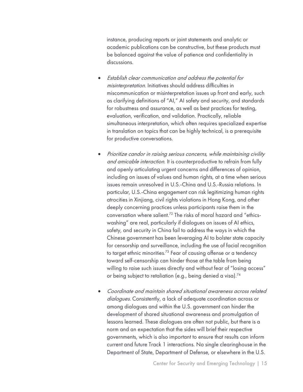instance, producing reports or joint statements and analytic or academic publications can be constructive, but these products must be balanced against the value of patience and confidentiality in discussions.

- Establish clear communication and address the potential for misinterpretation. Initiatives should address difficulties in miscommunication or misinterpretation issues up front and early, such as clarifying definitions of "AI," AI safety and security, and standards for robustness and assurance, as well as best practices for testing, evaluation, verification, and validation. Practically, reliable simultaneous interpretation, which often requires specialized expertise in translation on topics that can be highly technical, is a prerequisite for productive conversations.
- Prioritize candor in raising serious concerns, while maintaining civility and amicable interaction. It is counterproductive to refrain from fully and openly articulating urgent concerns and differences of opinion, including on issues of values and human rights, at a time when serious issues remain unresolved in U.S.-China and U.S.-Russia relations. In particular, U.S.-China engagement can risk legitimizing human rights atrocities in Xinjiang, civil rights violations in Hong Kong, and other deeply concerning practices unless participants raise them in the conversation where salient.<sup>72</sup> The risks of moral hazard and "ethicswashing" are real, particularly if dialogues on issues of AI ethics, safety, and security in China fail to address the ways in which the Chinese government has been leveraging AI to bolster state capacity for censorship and surveillance, including the use of facial recognition to target ethnic minorities.<sup>73</sup> Fear of causing offense or a tendency toward self-censorship can hinder those at the table from being willing to raise such issues directly and without fear of "losing access" or being subject to retaliation (e.g., being denied a visa).<sup>74</sup>
- Coordinate and maintain shared situational awareness across related dialogues. Consistently, a lack of adequate coordination across or among dialogues and within the U.S. government can hinder the development of shared situational awareness and promulgation of lessons learned. These dialogues are often not public, but there is a norm and an expectation that the sides will brief their respective governments, which is also important to ensure that results can inform current and future Track 1 interactions. No single clearinghouse in the Department of State, Department of Defense, or elsewhere in the U.S.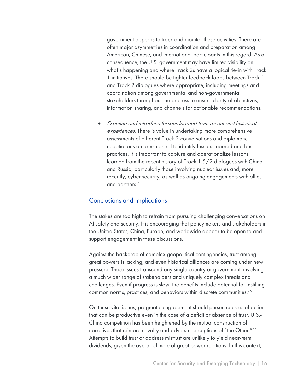government appears to track and monitor these activities. There are often major asymmetries in coordination and preparation among American, Chinese, and international participants in this regard. As a consequence, the U.S. government may have limited visibility on what's happening and where Track 2s have a logical tie-in with Track 1 initiatives. There should be tighter feedback loops between Track 1 and Track 2 dialogues where appropriate, including meetings and coordination among governmental and non-governmental stakeholders throughout the process to ensure clarity of objectives, information sharing, and channels for actionable recommendations.

• Examine and introduce lessons learned from recent and historical experiences. There is value in undertaking more comprehensive assessments of different Track 2 conversations and diplomatic negotiations on arms control to identify lessons learned and best practices. It is important to capture and operationalize lessons learned from the recent history of Track 1.5/2 dialogues with China and Russia, particularly those involving nuclear issues and, more recently, cyber security, as well as ongoing engagements with allies and partners. 75

#### Conclusions and Implications

The stakes are too high to refrain from pursuing challenging conversations on AI safety and security. It is encouraging that policymakers and stakeholders in the United States, China, Europe, and worldwide appear to be open to and support engagement in these discussions.

Against the backdrop of complex geopolitical contingencies, trust among great powers is lacking, and even historical alliances are coming under new pressure. These issues transcend any single country or government, involving a much wider range of stakeholders and uniquely complex threats and challenges. Even if progress is slow, the benefits include potential for instilling common norms, practices, and behaviors within discrete communities.76

On these vital issues, pragmatic engagement should pursue courses of action that can be productive even in the case of a deficit or absence of trust. U.S.- China competition has been heightened by the mutual construction of narratives that reinforce rivalry and adverse perceptions of "the Other."77 Attempts to build trust or address mistrust are unlikely to yield near-term dividends, given the overall climate of great power relations. In this context,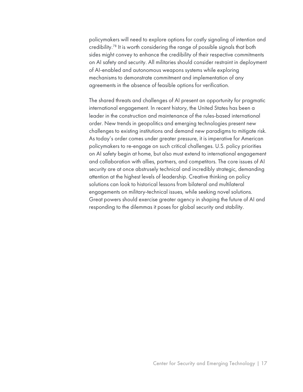policymakers will need to explore options for costly signaling of intention and credibility.78 It is worth considering the range of possible signals that both sides might convey to enhance the credibility of their respective commitments on AI safety and security. All militaries should consider restraint in deployment of AI-enabled and autonomous weapons systems while exploring mechanisms to demonstrate commitment and implementation of any agreements in the absence of feasible options for verification.

The shared threats and challenges of AI present an opportunity for pragmatic international engagement. In recent history, the United States has been a leader in the construction and maintenance of the rules-based international order. New trends in geopolitics and emerging technologies present new challenges to existing institutions and demand new paradigms to mitigate risk. As today's order comes under greater pressure, it is imperative for American policymakers to re-engage on such critical challenges. U.S. policy priorities on AI safety begin at home, but also must extend to international engagement and collaboration with allies, partners, and competitors. The core issues of AI security are at once abstrusely technical and incredibly strategic, demanding attention at the highest levels of leadership. Creative thinking on policy solutions can look to historical lessons from bilateral and multilateral engagements on military-technical issues, while seeking novel solutions. Great powers should exercise greater agency in shaping the future of AI and responding to the dilemmas it poses for global security and stability.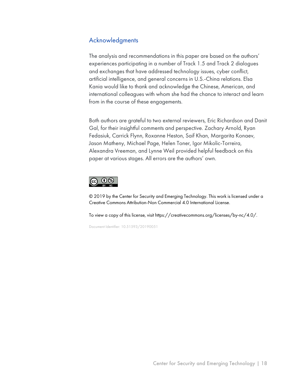# Acknowledgments

The analysis and recommendations in this paper are based on the authors' experiences participating in a number of Track 1.5 and Track 2 dialogues and exchanges that have addressed technology issues, cyber conflict, artificial intelligence, and general concerns in U.S.-China relations. Elsa Kania would like to thank and acknowledge the Chinese, American, and international colleagues with whom she had the chance to interact and learn from in the course of these engagements.

Both authors are grateful to two external reviewers, Eric Richardson and Danit Gal, for their insightful comments and perspective. Zachary Arnold, Ryan Fedasiuk, Carrick Flynn, Roxanne Heston, Saif Khan, Margarita Konaev, Jason Matheny, Michael Page, Helen Toner, Igor Mikolic-Torreira, Alexandra Vreeman, and Lynne Weil provided helpful feedback on this paper at various stages. All errors are the authors' own.



© 2019 by the Center for Security and Emerging Technology. This work is licensed under a Creative Commons Attribution-Non Commercial 4.0 International License.

To view a copy of this license, visit https://creativecommons.org/licenses/by-nc/4.0/.

Document Identifier: 10.51593/20190051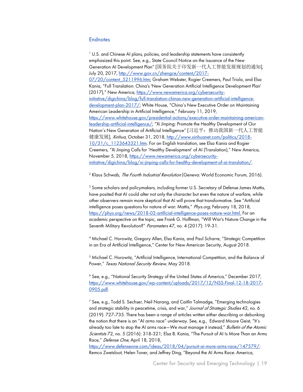#### **Endnotes**

<sup>1</sup> U.S. and Chinese AI plans, policies, and leadership statements have consistently emphasized this point. See, e.g., State Council Notice on the Issuance of the New Generation AI Development Plan" [国务院关于印发新一代人工智能发展规划的通知], July 20, 2017, http://www.gov.cn/zhengce/content/2017- 07/20/content\_5211996.htm; Graham Webster, Rogier Creemers, Paul Triolo, and Elsa Kania, "Full Translation: China's 'New Generation Artificial Intelligence Development Plan' (2017)," New America, https://www.newamerica.org/cybersecurityinitiative/digichina/blog/full-translation-chinas-new-generation-artificial-intelligencedevelopment-plan-2017/; White House, "China's New Executive Order on Maintaining American Leadership in Artificial Intelligence," February 11, 2019, https://www.whitehouse.gov/presidential-actions/executive-order-maintaining-americanleadership-artificial-intelligence/; "Xi Jinping: Promote the Healthy Development of Our Nation's New Generation of Artificial Intelligence" [习近平:推动我国新一代人工智能 健康发展], *Xinhua*, October 31, 2018, http://www.xinhuanet.com/politics/2018-10/31/c\_1123643321.htm. For an English translation, see Elsa Kania and Rogier Creemers, "Xi Jinping Calls for 'Healthy Development' of AI (Translation)," New America, November 5, 2018, https://www.newamerica.org/cybersecurityinitiative/digichina/blog/xi-jinping-calls-for-healthy-development-of-ai-translation/.

<sup>2</sup> Klaus Schwab, *The Fourth Industrial Revolution* (Geneva: World Economic Forum, 2016).

<sup>3</sup> Some scholars and policymakers, including former U.S. Secretary of Defense James Mattis, have posited that AI could alter not only the character but even the nature of warfare, while other observers remain more skeptical that AI will prove that transformative. See "Artificial intelligence poses questions for nature of war: Mattis," Phys.org, February 18, 2018, https://phys.org/news/2018-02-artificial-intelligence-poses-nature-war.html. For an academic perspective on the topic, see Frank G. Hoffman, "Will War's Nature Change in the Seventh Military Revolution?" Parameters 47, no. 4 (2017): 19-31.

<sup>4</sup> Michael C. Horowitz, Gregory Allen, Elsa Kania, and Paul Scharre, "Strategic Competition in an Era of Artificial Intelligence," Center for New American Security, August 2018.

<sup>5</sup> Michael C. Horowitz, "Artificial Intelligence, International Competition, and the Balance of Power," Texas National Security Review, May 2018.

<sup>6</sup> See, e.g., "National Security Strategy of the United States of America," December 2017, https://www.whitehouse.gov/wp-content/uploads/2017/12/NSS-Final-12-18-2017-0905.pdf.

 $<sup>7</sup>$  See, e.g., Todd S. Sechser, Neil Narang, and Caitlin Talmadge, "Emerging technologies</sup> and strategic stability in peacetime, crisis, and war," Journal of Strategic Studies 42, no. 6 (2019): 727-735. There has been a range of articles written either describing or debunking the notion that there is an "AI arms race" underway. See, e.g., Edward Moore Geist, "It's already too late to stop the AI arms race—We must manage it instead," Bulletin of the Atomic Scientists 72, no. 5 (2016): 318-321; Elsa B. Kania, "The Pursuit of AI Is More Than an Arms Race," Defense One, April 18, 2018,

https://www.defenseone.com/ideas/2018/04/pursuit-ai-more-arms-race/147579/; Remco Zwetsloot, Helen Toner, and Jeffrey Ding, "Beyond the AI Arms Race: America,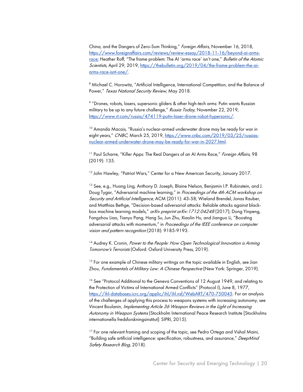China, and the Dangers of Zero-Sum Thinking," Foreign Affairs, November 16, 2018, https://www.foreignaffairs.com/reviews/review-essay/2018-11-16/beyond-ai-armsrace; Heather Roff, "The frame problem: The AI 'arms race' isn't one," Bulletin of the Atomic Scientists, April 29, 2019, https://thebulletin.org/2019/04/the-frame-problem-the-aiarms-race-isnt-one/.

<sup>8</sup> Michael C. Horowitz, "Artificial Intelligence, International Competition, and the Balance of Power," Texas National Security Review, May 2018.

<sup>9</sup> "Drones, robots, lasers, supersonic gliders & other high-tech arms: Putin wants Russian military to be up to any future challenge," Russia Today, November 22, 2019, https://www.rt.com/russia/474119-putin-laser-drone-robot-hypersonic/.

<sup>10</sup> Amanda Macais, "Russia's nuclear-armed underwater drone may be ready for war in eight years," CNBC, March 25, 2019, https://www.cnbc.com/2019/03/25/russiasnuclear-armed-underwater-drone-may-be-ready-for-war-in-2027.html.

<sup>11</sup> Paul Scharre, "Killer Apps: The Real Dangers of an AI Arms Race," Foreign Affairs, 98 (2019): 135.

<sup>12</sup> John Hawley, "Patriot Wars," Center for a New American Security, January 2017.

<sup>13</sup> See, e.g., Huang Ling, Anthony D. Joseph, Blaine Nelson, Benjamin I.P. Rubinstein, and J. Doug Tygar, "Adversarial machine learning," in Proceedings of the 4th ACM workshop on Security and Artificial Intelligence, ACM (2011): 43-58; Wieland Brendel, Jonas Rauber, and Matthias Bethge, "Decision-based adversarial attacks: Reliable attacks against blackbox machine learning models," arXiv preprint arXiv:1712.04248 (2017); Dong Yinpeng, Fangzhou Liao, Tianyu Pang, Hang Su, Jun Zhu, Xiaolin Hu, and Jianguo Li, "Boosting adversarial attacks with momentum," in Proceedings of the IEEE conference on computer vision and pattern recognition (2018): 9185-9193.

<sup>14</sup> Audrey K. Cronin, Power to the People: How Open Technological Innovation is Arming Tomorrow's Terrorists (Oxford: Oxford University Press, 2019).

<sup>15</sup> For one example of Chinese military writings on the topic available in English, see Jian Zhou, Fundamentals of Military Law: A Chinese Perspective (New York: Springer, 2019).

<sup>16</sup> See "Protocol Additional to the Geneva Conventions of 12 August 1949, and relating to the Protection of Victims of International Armed Conflicts" (Protocol I), June 8, 1977, https://ihl-databases.icrc.org/applic/ihl/ihl.nsf/WebART/470-750045. For an analysis of the challenges of applying this process to weapons systems with increasing autonomy, see Vincent Boulanin, Implementing Article 36 Weapon Reviews in the Light of Increasing Autonomy in Weapon Systems (Stockholm International Peace Research Institute [Stockholms internationella fredsforskningsinstitut]: SIPRI, 2015).

<sup>17</sup> For one relevant framing and scoping of the topic, see Pedro Ortega and Vishal Maini, "Building safe artificial intelligence: specification, robustness, and assurance," DeepMind Safety Research Blog, 2018).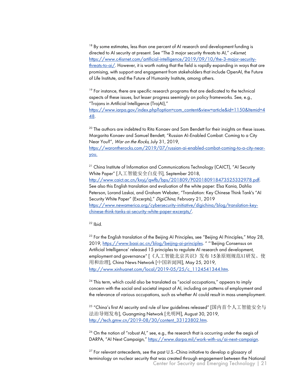<sup>18</sup> By some estimates, less than one percent of AI research and development funding is directed to AI security at present. See "The 3 major security threats to AI," c4isrnet, https://www.c4isrnet.com/artificial-intelligence/2019/09/10/the-3-major-securitythreats-to-ai/. However, it is worth noting that the field is rapidly expanding in ways that are promising, with support and engagement from stakeholders that include OpenAI, the Future of Life Institute, and the Future of Humanity Institute, among others.

<sup>19</sup> For instance, there are specific research programs that are dedicated to the technical aspects of these issues, but lesser progress seemingly on policy frameworks. See, e.g., "Trojans in Artificial Intelligence (TrojAI),"

https://www.iarpa.gov/index.php?option=com\_content&view=article&id=1150&Itemid=4 48.

<sup>20</sup> The authors are indebted to Rita Konaev and Sam Bendett for their insights on these issues. Margarita Konaev and Samuel Bendett, "Russian AI-Enabled Combat: Coming to a City Near You?", War on the Rocks, July 31, 2019, https://warontherocks.com/2019/07/russian-ai-enabled-combat-coming-to-a-city-nearyou.

<sup>21</sup> China Institute of Information and Communications Technology (CAICT), "AI Security White Paper" [人工智能安全白皮书], September 2018, http://www.caict.ac.cn/kxyj/qwfb/bps/201809/P020180918473525332978.pdf. See also this English translation and evaluation of the white paper: Elsa Kania, Dahlia Peterson, Lorand Laskai, and Graham Webster, "Translation: Key Chinese Think Tank's "AI Security White Paper" (Excerpts)," DigiChina, February 21, 2019 https://www.newamerica.org/cybersecurity-initiative/digichina/blog/translation-keychinese-think-tanks-ai-security-white-paper-excerpts/.

 $22$  Ibid.

<sup>23</sup> For the English translation of the Beijing AI Principles, see "Beijing AI Principles," May 28, 2019, https://www.baai.ac.cn/blog/beijing-ai-principles. " "'Beijing Consensus on Artificial Intelligence' released 15 principles to regulate AI research and development, employment and governance" [《人工智能北京共识》发布 15条原则规范AI研发、使 用和治理], China News Network [中国新闻网], May 25, 2019, http://www.xinhuanet.com/local/2019-05/25/c\_1124541344.htm.

 $24$  This term, which could also be translated as "social occupations," appears to imply concern with the social and societal impact of AI, including on patterns of employment and the relevance of various occupations, such as whether AI could result in mass unemployment.

<sup>25</sup> "China's first AI security and rule of law guidelines released" [国内首个人工智能安全与 法治导则发布], Guangming Network [光明网], August 30, 2019, http://tech.gmw.cn/2019-08/30/content\_33123802.htm.

 $26$  On the notion of "robust AI," see, e.g., the research that is occurring under the aegis of DARPA, "AI Next Campaign," https://www.darpa.mil/work-with-us/ai-next-campaign.

Center for Security and Emerging Technology | 21  $27$  For relevant antecedents, see the past U.S.-China initiative to develop a glossary of terminology on nuclear security that was created through engagement between the National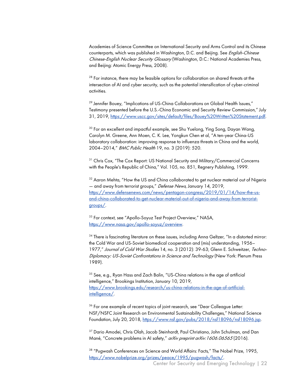Academies of Science Committee on International Security and Arms Control and its Chinese counterparts, which was published in Washington, D.C. and Beijing. See *English-Chinese* Chinese-English Nuclear Security Glossary (Washington, D.C.: National Academies Press, and Beijing: Atomic Energy Press, 2008).

<sup>28</sup> For instance, there may be feasible options for collaboration on shared threats at the intersection of AI and cyber security, such as the potential intensification of cyber-criminal activities.

<sup>29</sup> Jennifer Bouey, "Implications of US-China Collaborations on Global Health Issues," Testimony presented before the U.S.-China Economic and Security Review Commission," July 31, 2019, https://www.uscc.gov/sites/default/files/Bouey%20Written%20Statement.pdf.

<sup>30</sup> For an excellent and impactful example, see Shu Yuelong, Ying Song, Dayan Wang, Carolyn M. Greene, Ann Moen, C. K. Lee, Yongkun Chen et al, "A ten-year China-US laboratory collaboration: improving response to influenza threats in China and the world, 2004–2014," BMC Public Health 19, no. 3 (2019): 520.

<sup>31</sup> Chris Cox, "The Cox Report: US National Security and Military/Commercial Concerns with the People's Republic of China," Vol. 105, no. 851, Regnery Publishing, 1999.

<sup>32</sup> Aaron Mehta, "How the US and China collaborated to get nuclear material out of Nigeria — and away from terrorist groups," Defense News, January 14, 2019, https://www.defensenews.com/news/pentagon-congress/2019/01/14/how-the-usand-china-collaborated-to-get-nuclear-material-out-of-nigeria-and-away-from-terroristgroups/.

<sup>33</sup> For context, see "Apollo-Soyuz Test Project Overview," NASA, https://www.nasa.gov/apollo-soyuz/overview.

<sup>34</sup> There is fascinating literature on these issues, including Anna Geltzer, "In a distorted mirror: the Cold War and US-Soviet biomedical cooperation and (mis) understanding, 1956– 1977," Journal of Cold War Studies 14, no. 3 (2012): 39-63; Glenn E. Schweitzer, Techno-Diplomacy: US-Soviet Confrontations in Science and Technology (New York: Plenum Press 1989).

<sup>35</sup> See, e.g., Ryan Hass and Zach Balin, "US-China relations in the age of artificial intelligence," Brookings Institution, January 10, 2019, https://www.brookings.edu/research/us-china-relations-in-the-age-of-artificialintelligence/.

<sup>36</sup> For one example of recent topics of joint research, see "Dear Colleague Letter: NSF/NSFC Joint Research on Environmental Sustainability Challenges," National Science Foundation, July 20, 2018, https://www.nsf.gov/pubs/2018/nsf18096/nsf18096.jsp.

<sup>37</sup> Dario Amodei, Chris Olah, Jacob Steinhardt, Paul Christiano, John Schulman, and Dan Mané, "Concrete problems in AI safety," *arXiv preprint arXiv: 1606.06565* (2016).

<sup>38</sup> "Pugwash Conferences on Science and World Affairs: Facts," The Nobel Prize, 1995, https://www.nobelprize.org/prizes/peace/1995/pugwash/facts/.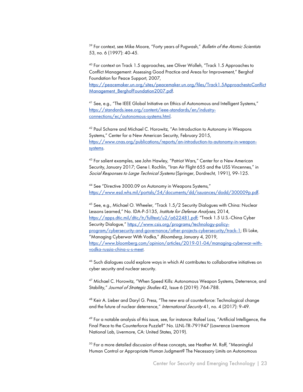<sup>39</sup> For context, see Mike Moore, "Forty years of Pugwash," Bulletin of the Atomic Scientists 53, no. 6 (1997): 40-45.

<sup>40</sup> For context on Track 1.5 approaches, see Oliver Wolleh, "Track 1.5 Approaches to Conflict Management: Assessing Good Practice and Areas for Improvement," Berghof Foundation for Peace Support, 2007, https://peacemaker.un.org/sites/peacemaker.un.org/files/Track1.5ApproachestoConflict

Management BerghofFoundation2007.pdf.

<sup>41</sup> See, e.g., "The IEEE Global Initiative on Ethics of Autonomous and Intelligent Systems," https://standards.ieee.org/content/ieee-standards/en/industryconnections/ec/autonomous-systems.html.

<sup>42</sup> Paul Scharre and Michael C. Horowitz, "An Introduction to Autonomy in Weapons Systems," Center for a New American Security, February 2015, https://www.cnas.org/publications/reports/an-introduction-to-autonomy-in-weaponsystems.

<sup>43</sup> For salient examples, see John Hawley, "Patriot Wars," Center for a New American Security, January 2017; Gene I. Rochlin, "Iran Air Flight 655 and the USS Vincennes," in Social Responses to Large Technical Systems (Springer, Dordrecht, 1991), 99-125.

<sup>44</sup> See "Directive 3000.09 on Autonomy in Weapons Systems," https://www.esd.whs.mil/portals/54/documents/dd/issuances/dodd/300009p.pdf.

<sup>45</sup> See, e.g., Michael O. Wheeler, "Track 1.5/2 Security Dialogues with China: Nuclear Lessons Learned," No. IDA-P-5135, Institute for Defense Analyses, 2014, https://apps.dtic.mil/dtic/tr/fulltext/u2/a622481.pdf; "Track 1.5 U.S.-China Cyber Security Dialogue," https://www.csis.org/programs/technology-policyprogram/cybersecurity-and-governance/other-projects-cybersecurity/track-1; Eli Lake, "Managing Cyberwar With Vodka," Bloomberg, January 4, 2019, https://www.bloomberg.com/opinion/articles/2019-01-04/managing-cyberwar-withvodka-russia-china-u-s-meet.

46 Such dialogues could explore ways in which AI contributes to collaborative initiatives on cyber security and nuclear security.

<sup>47</sup> Michael C. Horowitz, "When Speed Kills: Autonomous Weapon Systems, Deterrence, and Stability," Journal of Strategic Studies 42, Issue 6 (2019): 764-788.

<sup>48</sup> Keir A. Lieber and Daryl G. Press, "The new era of counterforce: Technological change and the future of nuclear deterrence," International Security 41, no. 4 (2017): 9-49.

<sup>49</sup> For a notable analysis of this issue, see, for instance: Rafael Loss, "Artificial Intelligence, the Final Piece to the Counterforce Puzzle?" No. LLNL-TR-791947 (Lawrence Livermore National Lab, Livermore, CA: United States, 2019).

<sup>50</sup> For a more detailed discussion of these concepts, see Heather M. Roff, "Meaningful Human Control or Appropriate Human Judgment? The Necessary Limits on Autonomous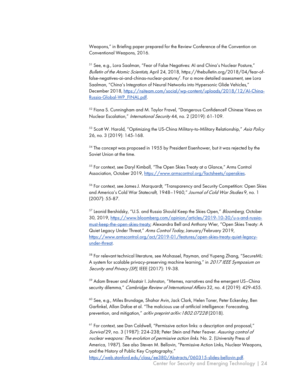Weapons," in Briefing paper prepared for the Review Conference of the Convention on Conventional Weapons, 2016.

<sup>51</sup> See, e.g., Lora Saalman, "Fear of False Negatives: AI and China's Nuclear Posture," Bulletin of the Atomic Scientists, April 24, 2018, https://thebulletin.org/2018/04/fear-offalse-negatives-ai-and-chinas-nuclear-posture/. For a more detailed assessment, see Lora Saalman, "China's Integration of Neural Networks into Hypersonic Glide Vehicles," December 2018, https://nsiteam.com/social/wp-content/uploads/2018/12/AI-China-Russia-Global-WP\_FINAL.pdf.

<sup>52</sup> Fiona S. Cunningham and M. Taylor Fravel, "Dangerous Confidence? Chinese Views on Nuclear Escalation," International Security 44, no. 2 (2019): 61-109.

<sup>53</sup> Scott W. Harold, "Optimizing the US-China Military-to-Military Relationship," Asia Policy 26, no. 3 (2019): 145-168.

 $54$  The concept was proposed in 1955 by President Eisenhower, but it was rejected by the Soviet Union at the time.

<sup>55</sup> For context, see Daryl Kimball, "The Open Skies Treaty at a Glance," Arms Control Association, October 2019, https://www.armscontrol.org/factsheets/openskies.

<sup>56</sup> For context, see James J. Marquardt, "Transparency and Security Competition: Open Skies and America's Cold War Statecraft, 1948-1960," Journal of Cold War Studies 9, no. 1 (2007): 55-87.

<sup>57</sup> Leonid Bershidsky, "U.S. and Russia Should Keep the Skies Open," *Bloomberg*, October 30, 2019, https://www.bloomberg.com/opinion/articles/2019-10-30/u-s-and-russiamust-keep-the-open-skies-treaty; Alexandra Bell and Anthony Wier, "Open Skies Treaty: A Quiet Legacy Under Threat," Arms Control Today, January/February 2019, https://www.armscontrol.org/act/2019-01/features/open-skies-treaty-quiet-legacyunder-threat.

<sup>58</sup> For relevant technical literature, see Mohassel, Payman, and Yupeng Zhang, "SecureML: A system for scalable privacy-preserving machine learning," in 2017 IEEE Symposium on Security and Privacy (SP), IEEE (2017): 19-38.

<sup>59</sup> Adam Breuer and Alastair I. Johnston, "Memes, narratives and the emergent US–China security dilemma." Cambridge Review of International Affairs 32, no. 4 (2019): 429-455.

<sup>60</sup> See, e.g., Miles Brundage, Shahar Avin, Jack Clark, Helen Toner, Peter Eckersley, Ben Garfinkel, Allan Dafoe et al. "The malicious use of artificial intelligence: Forecasting, prevention, and mitigation," arXiv preprint arXiv: 1802.07228 (2018).

<sup>61</sup> For context, see Dan Caldwell, "Permissive action links: a description and proposal," Survival 29, no. 3 (1987): 224-238; Peter Stein and Peter Feaver. Assuring control of nuclear weapons: The evolution of permissive action links. No. 2. (University Press of America, 1987). See also Steven M. Bellovin, "Permissive Action Links, Nuclear Weapons, and the History of Public Key Cryptography,"

https://web.stanford.edu/class/ee380/Abstracts/060315-slides-bellovin.pdf.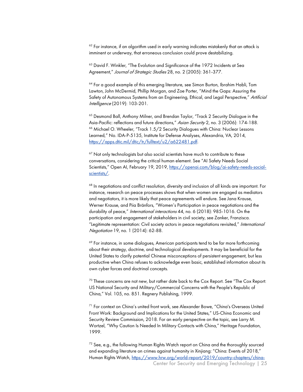<sup>62</sup> For instance, if an algorithm used in early warning indicates mistakenly that an attack is imminent or underway, that erroneous conclusion could prove destabilizing.

<sup>63</sup> David F. Winkler, "The Evolution and Significance of the 1972 Incidents at Sea Agreement," Journal of Strategic Studies 28, no. 2 (2005): 361-377.

<sup>64</sup> For a good example of this emerging literature, see Simon Burton, Ibrahim Habli, Tom Lawton, John McDermid, Phillip Morgan, and Zoe Porter, "Mind the Gaps: Assuring the Safety of Autonomous Systems from an Engineering, Ethical, and Legal Perspective," Artificial Intelligence (2019): 103-201.

<sup>65</sup> Desmond Ball, Anthony Milner, and Brendan Taylor, "Track 2 Security Dialogue in the Asia-Pacific: reflections and future directions," Asian Security 2, no. 3 (2006): 174-188. <sup>66</sup> Michael O. Wheeler, "Track 1.5/2 Security Dialogues with China: Nuclear Lessons Learned," No. IDA-P-5135, Institute for Defense Analyses, Alexandria, VA, 2014, https://apps.dtic.mil/dtic/tr/fulltext/u2/a622481.pdf.

 $67$  Not only technologists but also social scientists have much to contribute to these conversations, considering the critical human element. See "AI Safety Needs Social Scientists," Open AI, February 19, 2019, https://openai.com/blog/ai-safety-needs-socialscientists/.

<sup>68</sup> In negotiations and conflict resolution, diversity and inclusion of all kinds are important. For instance, research on peace processes shows that when women are engaged as mediators and negotiators, it is more likely that peace agreements will endure. See Jana Krause, Werner Krause, and Piia Bränfors, "Women's Participation in peace negotiations and the durability of peace," International interactions 44, no. 6 (2018): 985-1016. On the participation and engagement of stakeholders in civil society, see Zanker, Franzisca. "Legitimate representation: Civil society actors in peace negotiations revisited," International Negotiation 19, no. 1 (2014): 62-88.

<sup>69</sup> For instance, in some dialogues, American participants tend to be far more forthcoming about their strategy, doctrine, and technological developments. It may be beneficial for the United States to clarify potential Chinese misconceptions of persistent engagement, but less productive when China refuses to acknowledge even basic, established information about its own cyber forces and doctrinal concepts.

 $70$  These concerns are not new, but rather date back to the Cox Report. See "The Cox Report: US National Security and Military/Commercial Concerns with the People's Republic of China," Vol. 105, no. 851. Regnery Publishing, 1999.

<sup>71</sup> For context on China's united front work, see Alexander Bowe, "China's Overseas United Front Work: Background and Implications for the United States," US-China Economic and Security Review Commission, 2018. For an early perspective on the topic, see Larry M. Wortzel, "Why Caution Is Needed In Military Contacts with China," Heritage Foundation, 1999.

Center for Security and Emerging Technology | 25 <sup>72</sup> See, e.g., the following Human Rights Watch report on China and the thoroughly sourced and expanding literature on crimes against humanity in Xinjiang: "China: Events of 2018," Human Rights Watch, https://www.hrw.org/world-report/2019/country-chapters/china